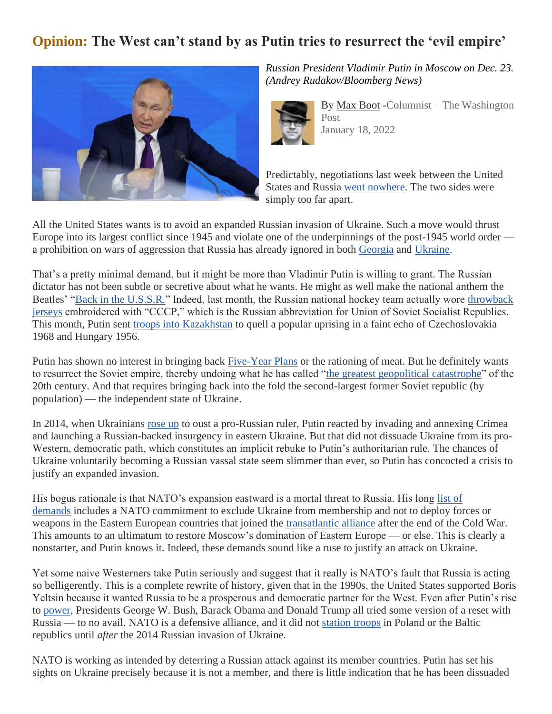## **Opinion: The West can't stand by as Putin tries to resurrect the 'evil empire'**



*Russian President Vladimir Putin in Moscow on Dec. 23. (Andrey Rudakov/Bloomberg News)*

> By Max [Boot](https://www.washingtonpost.com/people/max-boot/) -Columnist – The Washington Post January 18, 2022

Predictably, negotiations last week between the United States and Russia [went nowhere.](https://cisac.fsi.stanford.edu/news/after-us-russia-nato-russia-and-osce-meetings-what-next) The two sides were simply too far apart.

All the United States wants is to avoid an expanded Russian invasion of Ukraine. Such a move would thrust Europe into its largest conflict since 1945 and violate one of the underpinnings of the post-1945 world order a prohibition on wars of aggression that Russia has already ignored in both [Georgia](https://www.atlanticcouncil.org/blogs/ukrainealert/the-2008-russo-georgian-war-putins-green-light/) and [Ukraine.](https://www.vox.com/2014/9/3/18088560/ukraine-everything-you-need-to-know)

That's a pretty minimal demand, but it might be more than Vladimir Putin is willing to grant. The Russian dictator has not been subtle or secretive about what he wants. He might as well make the national anthem the Beatles' ["Back in the U.S.S.R."](https://www.youtube.com/watch?v=nS5_EQgbuLc) Indeed, last month, the Russian national hockey team actually wore [throwback](https://news.sportslogos.net/2021/12/22/back-in-the-ussr-russian-hockey-team-wears-cccp-throwbacks/hockey-2/)  [jerseys](https://news.sportslogos.net/2021/12/22/back-in-the-ussr-russian-hockey-team-wears-cccp-throwbacks/hockey-2/) embroidered with "CCCP," which is the Russian abbreviation for Union of Soviet Socialist Republics. This month, Putin sent [troops into Kazakhstan](https://www.nytimes.com/live/2022/01/06/world/kazakhstan-protests) to quell a popular uprising in a faint echo of Czechoslovakia 1968 and Hungary 1956.

Putin has shown no interest in bringing back [Five-Year Plans](https://www.britannica.com/topic/Five-Year-Plans) or the rationing of meat. But he definitely wants to resurrect the Soviet empire, thereby undoing what he has called ["the greatest geopolitical catastrophe"](https://www.nbcnews.com/id/wbna7632057) of the 20th century. And that requires bringing back into the fold the second-largest former Soviet republic (by population) — the independent state of Ukraine.

In 2014, when Ukrainians [rose up](https://www.britannica.com/place/Ukraine/The-Maidan-protest-movement) to oust a pro-Russian ruler, Putin reacted by invading and annexing Crimea and launching a Russian-backed insurgency in eastern Ukraine. But that did not dissuade Ukraine from its pro-Western, democratic path, which constitutes an implicit rebuke to Putin's authoritarian rule. The chances of Ukraine voluntarily becoming a Russian vassal state seem slimmer than ever, so Putin has concocted a crisis to justify an expanded invasion.

His bogus rationale is that NATO's expansion eastward is a mortal threat to Russia. His long list of [demands](https://www.brookings.edu/blog/order-from-chaos/2021/12/21/russias-draft-agreements-with-nato-and-the-united-states-intended-for-rejection/) includes a NATO commitment to exclude Ukraine from membership and not to deploy forces or weapons in the Eastern European countries that joined the [transatlantic alliance](https://www.nato.int/cps/en/natolive/nato_countries.htm) after the end of the Cold War. This amounts to an ultimatum to restore Moscow's domination of Eastern Europe — or else. This is clearly a nonstarter, and Putin knows it. Indeed, these demands sound like a ruse to justify an attack on Ukraine.

Yet some naive Westerners take Putin seriously and suggest that it really is NATO's fault that Russia is acting so belligerently. This is a complete rewrite of history, given that in the 1990s, the United States supported Boris Yeltsin because it wanted Russia to be a prosperous and democratic partner for the West. Even after Putin's rise to [power,](https://foreignpolicy.com/2020/05/07/how-putin-changed-russia-forever/) Presidents George W. Bush, Barack Obama and Donald Trump all tried some version of a reset with Russia — to no avail. NATO is a defensive alliance, and it did not [station troops](https://www.nato.int/cps/en/natohq/news_146557.htm) in Poland or the Baltic republics until *after* the 2014 Russian invasion of Ukraine.

NATO is working as intended by deterring a Russian attack against its member countries. Putin has set his sights on Ukraine precisely because it is not a member, and there is little indication that he has been dissuaded